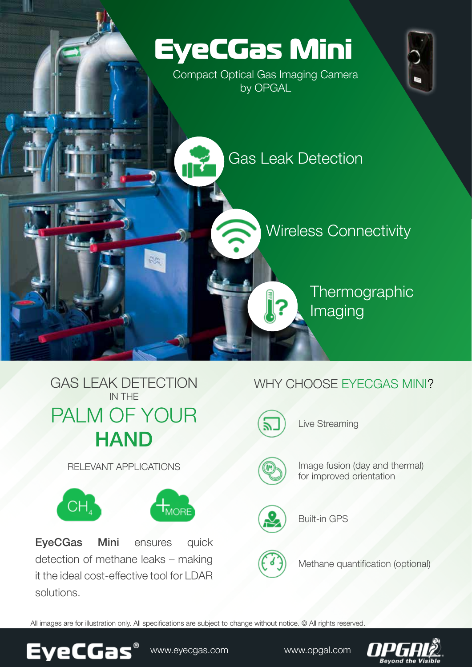



RELEVANT APPLICATIONS



EyeCGas Mini ensures quick detection of methane leaks – making it the ideal cost-effective tool for LDAR .solutions

## WHY CHOOSE EYECGAS MINI?



Live Streaming



Image fusion (day and thermal) for improved orientation



**Built-in GPS** 



Methane quantification (optional)

All images are for illustration only. All specifications are subject to change without notice. © All rights reserved.



www.eyecgas.com. www.opgal.com